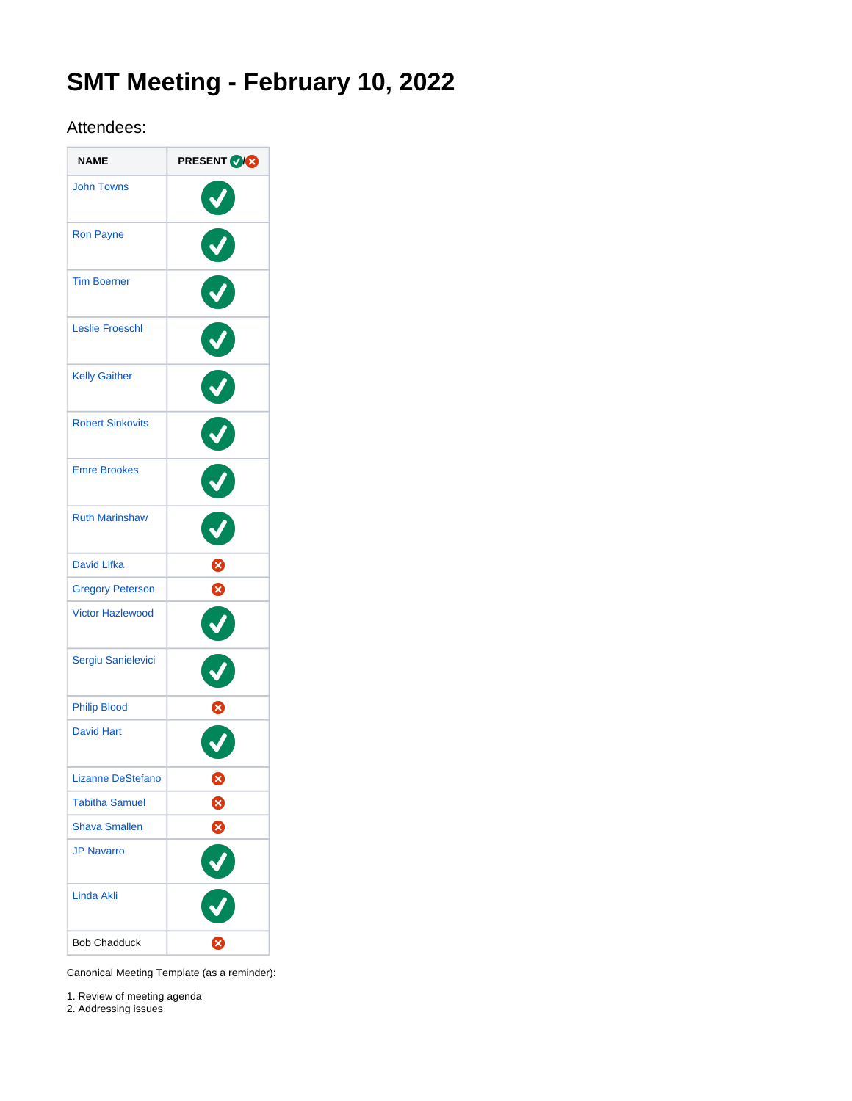# **SMT Meeting - February 10, 2022**

# Attendees:

| <b>NAME</b>              | <b>PRESENT OF S</b>   |
|--------------------------|-----------------------|
| <b>John Towns</b>        |                       |
| <b>Ron Payne</b>         |                       |
| <b>Tim Boerner</b>       | Ø                     |
| <b>Leslie Froeschl</b>   |                       |
| <b>Kelly Gaither</b>     | $\boldsymbol{\sigma}$ |
| <b>Robert Sinkovits</b>  | V                     |
| <b>Emre Brookes</b>      |                       |
| <b>Ruth Marinshaw</b>    |                       |
| <b>David Lifka</b>       | 0                     |
| <b>Gregory Peterson</b>  | Ø                     |
| <b>Victor Hazlewood</b>  |                       |
| Sergiu Sanielevici       |                       |
| <b>Philip Blood</b>      | 8                     |
| <b>David Hart</b>        |                       |
| <b>Lizanne DeStefano</b> | ⊗                     |
| <b>Tabitha Samuel</b>    | 0                     |
| <b>Shava Smallen</b>     | ⊗                     |
| <b>JP Navarro</b>        |                       |
| Linda Akli               |                       |
| <b>Bob Chadduck</b>      | X                     |

Canonical Meeting Template (as a reminder):

1. Review of meeting agenda

2. Addressing issues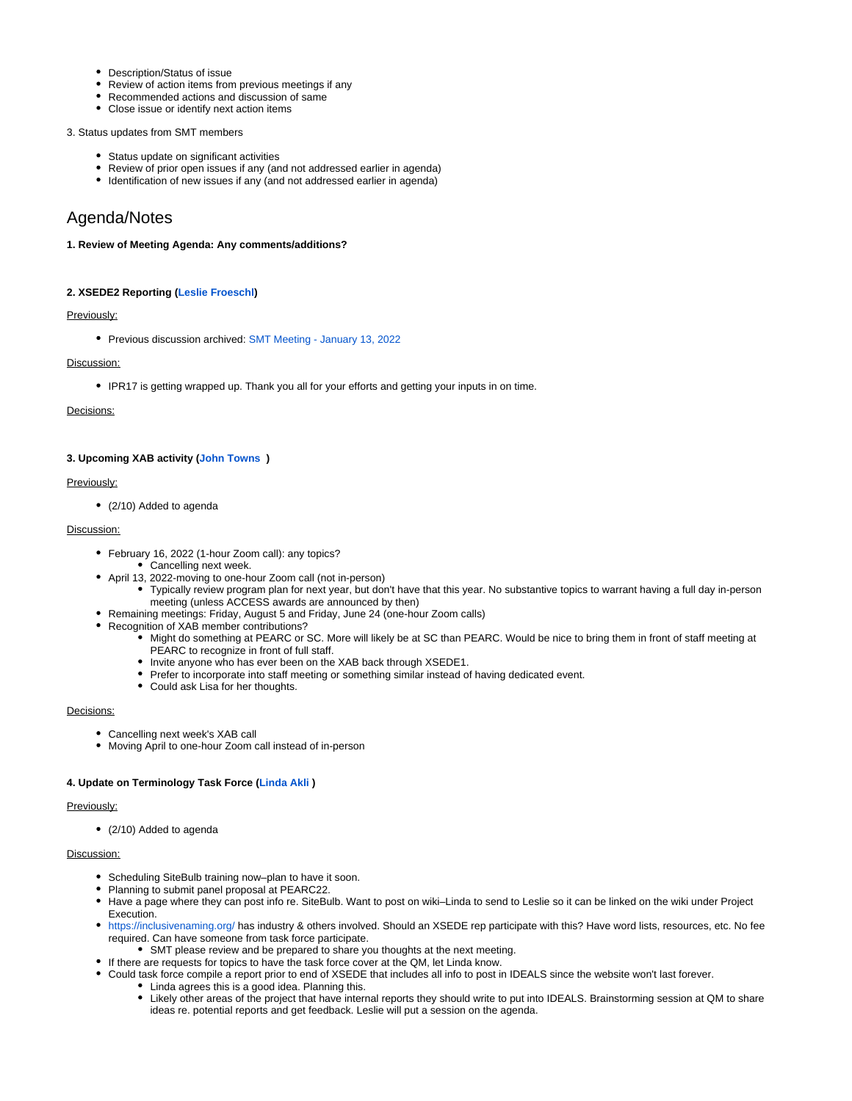- Description/Status of issue
- Review of action items from previous meetings if any
- Recommended actions and discussion of same
- Close issue or identify next action items

### 3. Status updates from SMT members

- Status update on significant activities
- Review of prior open issues if any (and not addressed earlier in agenda)
- Identification of new issues if any (and not addressed earlier in agenda)

# Agenda/Notes

### **1. Review of Meeting Agenda: Any comments/additions?**

# **2. XSEDE2 Reporting [\(Leslie Froeschl\)](https://confluence.xsede.org/display/~lfroesch)**

# Previously:

Previous discussion archived: [SMT Meeting - January 13, 2022](https://confluence.xsede.org/display/XT/SMT+Meeting+-+January+13%2C+2022)

# Discussion:

IPR17 is getting wrapped up. Thank you all for your efforts and getting your inputs in on time.

# Decisions:

# **3. Upcoming XAB activity [\(John Towns](https://confluence.xsede.org/display/~jtowns) )**

# Previously:

(2/10) Added to agenda

# Discussion:

- February 16, 2022 (1-hour Zoom call): any topics?
- Cancelling next week.
- April 13, 2022-moving to one-hour Zoom call (not in-person) Typically review program plan for next year, but don't have that this year. No substantive topics to warrant having a full day in-person
- meeting (unless ACCESS awards are announced by then) Remaining meetings: Friday, August 5 and Friday, June 24 (one-hour Zoom calls)
- Recognition of XAB member contributions?
	- Might do something at PEARC or SC. More will likely be at SC than PEARC. Would be nice to bring them in front of staff meeting at PEARC to recognize in front of full staff.
	- Invite anyone who has ever been on the XAB back through XSEDE1.
	- Prefer to incorporate into staff meeting or something similar instead of having dedicated event.
	- Could ask Lisa for her thoughts.

# Decisions:

- Cancelling next week's XAB call
- Moving April to one-hour Zoom call instead of in-person

#### **4. Update on Terminology Task Force [\(Linda Akli](https://confluence.xsede.org/display/~lakli) )**

### Previously:

• (2/10) Added to agenda

# Discussion:

- Scheduling SiteBulb training now-plan to have it soon.
- Planning to submit panel proposal at PEARC22.
- Have a page where they can post info re. SiteBulb. Want to post on wiki–Linda to send to Leslie so it can be linked on the wiki under Project Execution.
- <https://inclusivenaming.org/>has industry & others involved. Should an XSEDE rep participate with this? Have word lists, resources, etc. No fee required. Can have someone from task force participate.
	- SMT please review and be prepared to share you thoughts at the next meeting.
- If there are requests for topics to have the task force cover at the QM, let Linda know.
- Could task force compile a report prior to end of XSEDE that includes all info to post in IDEALS since the website won't last forever.
	- Linda agrees this is a good idea. Planning this.
	- Likely other areas of the project that have internal reports they should write to put into IDEALS. Brainstorming session at QM to share ideas re. potential reports and get feedback. Leslie will put a session on the agenda.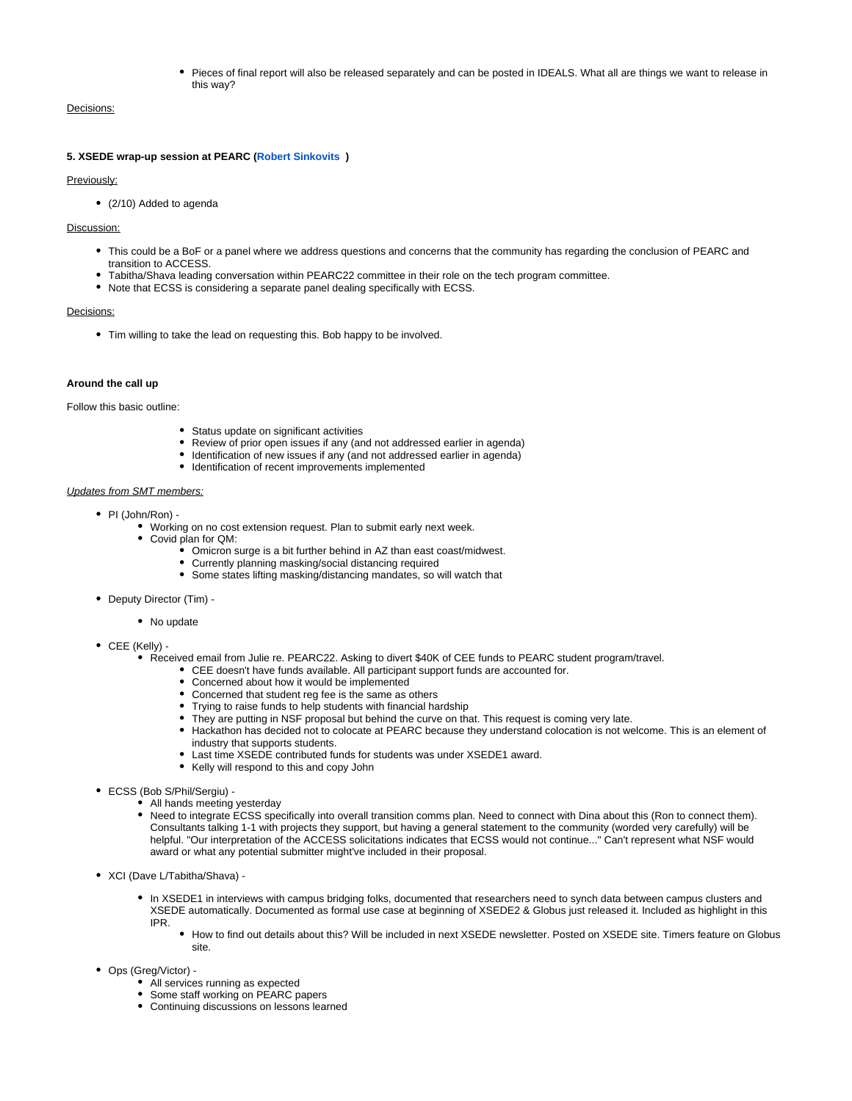Pieces of final report will also be released separately and can be posted in IDEALS. What all are things we want to release in this way?

#### Decisions:

#### **5. XSEDE wrap-up session at PEARC ([Robert Sinkovits](https://confluence.xsede.org/display/~sinkovit) )**

Previously:

(2/10) Added to agenda

#### Discussion:

- This could be a BoF or a panel where we address questions and concerns that the community has regarding the conclusion of PEARC and transition to ACCESS.
- Tabitha/Shava leading conversation within PEARC22 committee in their role on the tech program committee.
- Note that ECSS is considering a separate panel dealing specifically with ECSS.

#### Decisions:

Tim willing to take the lead on requesting this. Bob happy to be involved.

#### **Around the call up**

Follow this basic outline:

- Status update on significant activities
- Review of prior open issues if any (and not addressed earlier in agenda)
- Identification of new issues if any (and not addressed earlier in agenda)
- $\bullet$  Identification of recent improvements implemented

#### Updates from SMT members:

- PI (John/Ron) -
	- Working on no cost extension request. Plan to submit early next week.
	- Covid plan for QM:
		- Omicron surge is a bit further behind in AZ than east coast/midwest.
		- Currently planning masking/social distancing required
		- Some states lifting masking/distancing mandates, so will watch that
- Deputy Director (Tim) -
	- No update
- CEE (Kelly)
	- Received email from Julie re. PEARC22. Asking to divert \$40K of CEE funds to PEARC student program/travel.
		- CEE doesn't have funds available. All participant support funds are accounted for.
		- Concerned about how it would be implemented
		- Concerned that student reg fee is the same as others
		- Trying to raise funds to help students with financial hardship
		- They are putting in NSF proposal but behind the curve on that. This request is coming very late.
		- Hackathon has decided not to colocate at PEARC because they understand colocation is not welcome. This is an element of industry that supports students.
		- Last time XSEDE contributed funds for students was under XSEDE1 award.
		- Kelly will respond to this and copy John
- ECSS (Bob S/Phil/Sergiu)
	- All hands meeting yesterday
	- Need to integrate ECSS specifically into overall transition comms plan. Need to connect with Dina about this (Ron to connect them). Consultants talking 1-1 with projects they support, but having a general statement to the community (worded very carefully) will be helpful. "Our interpretation of the ACCESS solicitations indicates that ECSS would not continue..." Can't represent what NSF would award or what any potential submitter might've included in their proposal.
- XCI (Dave L/Tabitha/Shava)
	- In XSEDE1 in interviews with campus bridging folks, documented that researchers need to synch data between campus clusters and XSEDE automatically. Documented as formal use case at beginning of XSEDE2 & Globus just released it. Included as highlight in this IPR.
		- How to find out details about this? Will be included in next XSEDE newsletter. Posted on XSEDE site. Timers feature on Globus site.
- Ops (Greg/Victor)
	- All services running as expected
	- Some staff working on PEARC papers
	- Continuing discussions on lessons learned